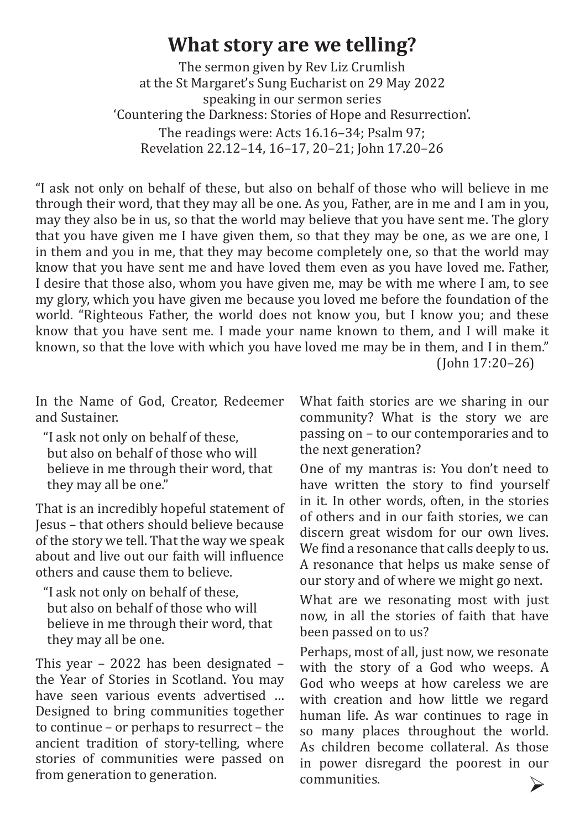## **What story are we telling?**

The sermon given by Rev Liz Crumlish at the St Margaret's Sung Eucharist on 29 May 2022 speaking in our sermon series 'Countering the Darkness: Stories of Hope and Resurrection'. The readings were: Acts 16.16–34; Psalm 97; Revelation 22.12–14, 16–17, 20–21; John 17.20–26

"I ask not only on behalf of these, but also on behalf of those who will believe in me through their word, that they may all be one. As you, Father, are in me and I am in you, may they also be in us, so that the world may believe that you have sent me. The glory that you have given me I have given them, so that they may be one, as we are one, I in them and you in me, that they may become completely one, so that the world may know that you have sent me and have loved them even as you have loved me. Father, I desire that those also, whom you have given me, may be with me where I am, to see my glory, which you have given me because you loved me before the foundation of the world. "Righteous Father, the world does not know you, but I know you; and these know that you have sent me. I made your name known to them, and I will make it known, so that the love with which you have loved me may be in them, and I in them."

(John 17:20–26)

In the Name of God, Creator, Redeemer and Sustainer.

"I ask not only on behalf of these, but also on behalf of those who will believe in me through their word, that they may all be one."

That is an incredibly hopeful statement of Jesus – that others should believe because of the story we tell. That the way we speak about and live out our faith will influence others and cause them to believe.

"I ask not only on behalf of these, but also on behalf of those who will believe in me through their word, that they may all be one.

This year – 2022 has been designated – the Year of Stories in Scotland. You may have seen various events advertised … Designed to bring communities together to continue – or perhaps to resurrect – the ancient tradition of story-telling, where stories of communities were passed on from generation to generation.

What faith stories are we sharing in our community? What is the story we are passing on – to our contemporaries and to the next generation?

One of my mantras is: You don't need to have written the story to find yourself in it. In other words, often, in the stories of others and in our faith stories, we can discern great wisdom for our own lives. We find a resonance that calls deeply to us. A resonance that helps us make sense of our story and of where we might go next.

What are we resonating most with just now, in all the stories of faith that have been passed on to us?

Perhaps, most of all, just now, we resonate with the story of a God who weeps. A God who weeps at how careless we are with creation and how little we regard human life. As war continues to rage in so many places throughout the world. As children become collateral. As those in power disregard the poorest in our communities. Ø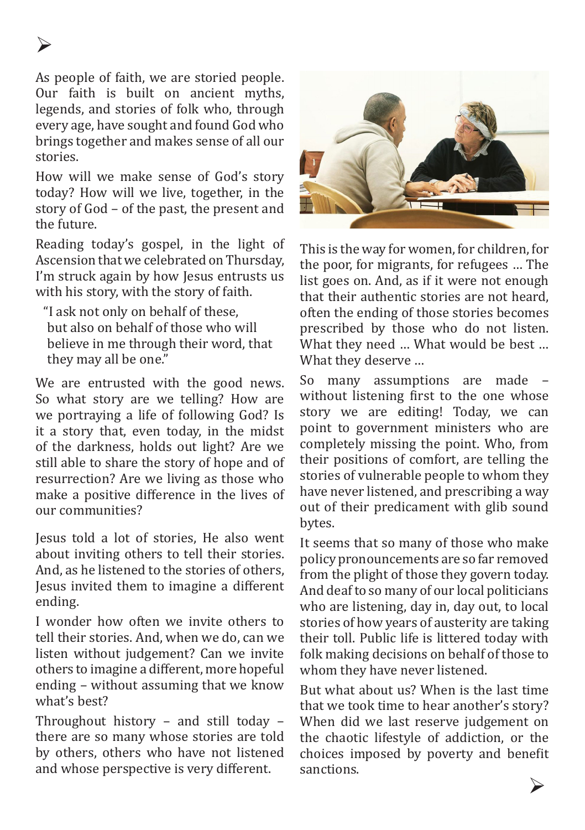As people of faith, we are storied people. Our faith is built on ancient myths, legends, and stories of folk who, through every age, have sought and found God who brings together and makes sense of all our stories.

How will we make sense of God's story today? How will we live, together, in the story of God – of the past, the present and the future.

Reading today's gospel, in the light of Ascension that we celebrated on Thursday, I'm struck again by how Jesus entrusts us with his story, with the story of faith.

"I ask not only on behalf of these, but also on behalf of those who will believe in me through their word, that they may all be one."

We are entrusted with the good news. So what story are we telling? How are we portraying a life of following God? Is it a story that, even today, in the midst of the darkness, holds out light? Are we still able to share the story of hope and of resurrection? Are we living as those who make a positive difference in the lives of our communities?

Jesus told a lot of stories, He also went about inviting others to tell their stories. And, as he listened to the stories of others, Jesus invited them to imagine a different ending.

I wonder how often we invite others to tell their stories. And, when we do, can we listen without judgement? Can we invite others to imagine a different, more hopeful ending – without assuming that we know what's best?

Throughout history – and still today – there are so many whose stories are told by others, others who have not listened and whose perspective is very different.



This is the way for women, for children, for the poor, for migrants, for refugees … The list goes on. And, as if it were not enough that their authentic stories are not heard, often the ending of those stories becomes prescribed by those who do not listen. What they need … What would be best … What they deserve …

So many assumptions are made without listening first to the one whose story we are editing! Today, we can point to government ministers who are completely missing the point. Who, from their positions of comfort, are telling the stories of vulnerable people to whom they have never listened, and prescribing a way out of their predicament with glib sound bytes.

It seems that so many of those who make policy pronouncements are so far removed from the plight of those they govern today. And deaf to so many of our local politicians who are listening, day in, day out, to local stories of how years of austerity are taking their toll. Public life is littered today with folk making decisions on behalf of those to whom they have never listened.

But what about us? When is the last time that we took time to hear another's story? When did we last reserve judgement on the chaotic lifestyle of addiction, or the choices imposed by poverty and benefit sanctions.

Ø

## Ø